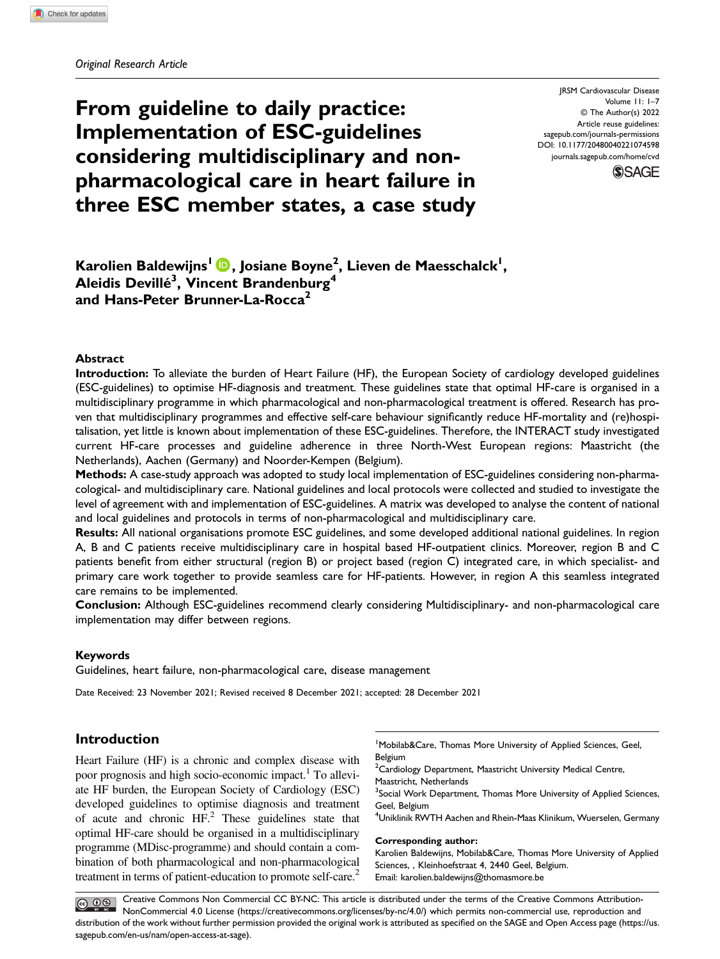From guideline to daily practice: Implementation of ESC-guidelines considering multidisciplinary and nonpharmacological care in heart failure in three ESC member states, a case study

JRSM Cardiovascular Disease Volume 11: 1–7 © The Author(s) 2022 Article reuse guidelines: [sagepub.com/journals-permissions](https://us.sagepub.com/en-us/journals-permissions) DOI: 10.1177/20480040221074598 [journals.sagepub.com/home/cvd](https://journals.sagepub.com/home/cvd)



Karolien Baldewijns<sup>l</sup> D, Josiane Boyne<sup>2</sup>, Lieven de Maesschalck<sup>I</sup>, Aleidis Devillé $^3$ , Vincent Brandenburg $^4$ and Hans-Peter Brunner-La-Rocca<sup>2</sup>

# Abstract

Introduction: To alleviate the burden of Heart Failure (HF), the European Society of cardiology developed guidelines (ESC-guidelines) to optimise HF-diagnosis and treatment. These guidelines state that optimal HF-care is organised in a multidisciplinary programme in which pharmacological and non-pharmacological treatment is offered. Research has proven that multidisciplinary programmes and effective self-care behaviour significantly reduce HF-mortality and (re)hospitalisation, yet little is known about implementation of these ESC-guidelines. Therefore, the INTERACT study investigated current HF-care processes and guideline adherence in three North-West European regions: Maastricht (the Netherlands), Aachen (Germany) and Noorder-Kempen (Belgium).

Methods: A case-study approach was adopted to study local implementation of ESC-guidelines considering non-pharmacological- and multidisciplinary care. National guidelines and local protocols were collected and studied to investigate the level of agreement with and implementation of ESC-guidelines. A matrix was developed to analyse the content of national and local guidelines and protocols in terms of non-pharmacological and multidisciplinary care.

Results: All national organisations promote ESC guidelines, and some developed additional national guidelines. In region A, B and C patients receive multidisciplinary care in hospital based HF-outpatient clinics. Moreover, region B and C patients benefit from either structural (region B) or project based (region C) integrated care, in which specialist- and primary care work together to provide seamless care for HF-patients. However, in region A this seamless integrated care remains to be implemented.

Conclusion: Although ESC-guidelines recommend clearly considering Multidisciplinary- and non-pharmacological care implementation may differ between regions.

### Keywords

Guidelines, heart failure, non-pharmacological care, disease management

Date Received: 23 November 2021; Revised received 8 December 2021; accepted: 28 December 2021

# Introduction

Heart Failure (HF) is a chronic and complex disease with poor prognosis and high socio-economic impact.<sup>1</sup> To alleviate HF burden, the European Society of Cardiology (ESC) developed guidelines to optimise diagnosis and treatment of acute and chronic  $HF<sup>2</sup>$ . These guidelines state that optimal HF-care should be organised in a multidisciplinary programme (MDisc-programme) and should contain a combination of both pharmacological and non-pharmacological treatment in terms of patient-education to promote self-care.<sup>2</sup>

<sup>1</sup> Mobilab&Care, Thomas More University of Applied Sciences, Geel, Belgium

<sup>2</sup> Cardiology Department, Maastricht University Medical Centre,

Maastricht, Netherlands

<sup>3</sup>Social Work Department, Thomas More University of Applied Sciences, Geel, Belgium

4 Uniklinik RWTH Aachen and Rhein-Maas Klinikum, Wuerselen, Germany

#### Corresponding author:

Karolien Baldewijns, Mobilab&Care, Thomas More University of Applied Sciences, , Kleinhoefstraat 4, 2440 Geel, Belgium. Email: [karolien.baldewijns@thomasmore.be](mailto:karolien.baldewijns@thomasmore.be)

Creative Commons Non Commercial CC BY-NC: This article is distributed under the terms of the Creative Commons Attribution- $\bigcirc$   $\bullet$ NonCommercial 4.0 License [\(https://creativecommons.org/licenses/by-nc/4.0/\) which permits non-commercial use, reproduction and](https://creativecommons.org/licenses/by-nc/4.0/) [distribution of the work without further permission provided the original work is attributed as speci](https://us.sagepub.com/en-us/nam/open-access-at-sage)fied on the SAGE and Open Access page (https://us. [sagepub.com/en-us/nam/open-access-at-sage\).](https://us.sagepub.com/en-us/nam/open-access-at-sage)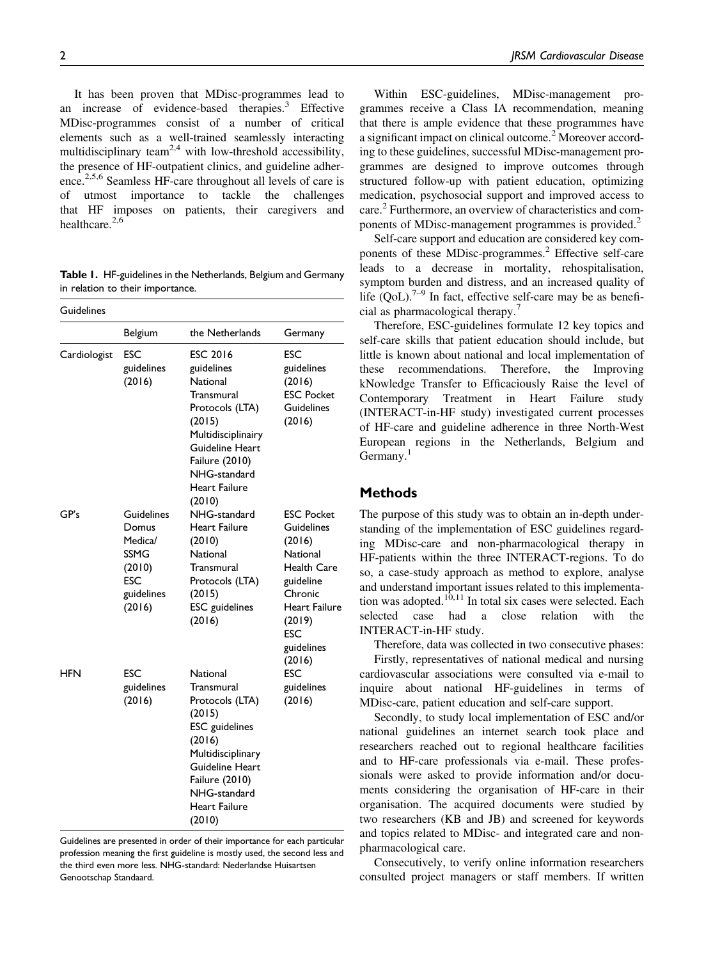It has been proven that MDisc-programmes lead to an increase of evidence-based therapies.<sup>3</sup> Effective MDisc-programmes consist of a number of critical elements such as a well-trained seamlessly interacting multidisciplinary team<sup>2,4</sup> with low-threshold accessibility, the presence of HF-outpatient clinics, and guideline adherence.<sup>2,5,6</sup> Seamless HF-care throughout all levels of care is of utmost importance to tackle the challenges that HF imposes on patients, their caregivers and healthcare. $2,6$ 

Table 1. HF-guidelines in the Netherlands, Belgium and Germany in relation to their importance.

| Guidelines   |                                                                                 |                                                                                                                                                                                            |                                                                                                                                                        |  |  |  |
|--------------|---------------------------------------------------------------------------------|--------------------------------------------------------------------------------------------------------------------------------------------------------------------------------------------|--------------------------------------------------------------------------------------------------------------------------------------------------------|--|--|--|
|              | Belgium                                                                         | the Netherlands                                                                                                                                                                            | Germany                                                                                                                                                |  |  |  |
| Cardiologist | ESC<br>guidelines<br>(2016)                                                     | <b>ESC 2016</b><br>guidelines<br>National<br>Transmural<br>Protocols (LTA)<br>(2015)<br>Multidisciplinairy<br>Guideline Heart<br>Failure (2010)<br>NHG-standard<br>Heart Failure<br>(2010) | ESC<br>guidelines<br>(2016)<br><b>ESC Pocket</b><br>Guidelines<br>(2016)                                                                               |  |  |  |
| GP's         | Guidelines<br>Domus<br>Medica/<br>SSMG<br>(2010)<br>ESC<br>guidelines<br>(2016) | NHG-standard<br>Heart Failure<br>(2010)<br>National<br>Transmural<br>Protocols (LTA)<br>(2015)<br>ESC guidelines<br>(2016)                                                                 | <b>ESC Pocket</b><br>Guidelines<br>(2016)<br>National<br>Health Care<br>guideline<br>Chronic<br>Heart Failure<br>(2019)<br>ESC<br>guidelines<br>(2016) |  |  |  |
| HFN          | <b>ESC</b><br>guidelines<br>(2016)                                              | National<br>Transmural<br>Protocols (LTA)<br>(2015)<br>ESC guidelines<br>(2016)<br>Multidisciplinary<br>Guideline Heart<br>Failure (2010)<br>NHG-standard<br>Heart Failure<br>(2010)       | ESC<br>guidelines<br>(2016)                                                                                                                            |  |  |  |

Guidelines are presented in order of their importance for each particular profession meaning the first guideline is mostly used, the second less and the third even more less. NHG-standard: Nederlandse Huisartsen Genootschap Standaard.

Within ESC-guidelines, MDisc-management programmes receive a Class IA recommendation, meaning that there is ample evidence that these programmes have a significant impact on clinical outcome.<sup>2</sup> Moreover according to these guidelines, successful MDisc-management programmes are designed to improve outcomes through structured follow-up with patient education, optimizing medication, psychosocial support and improved access to care.<sup>2</sup> Furthermore, an overview of characteristics and components of MDisc-management programmes is provided.<sup>2</sup>

Self-care support and education are considered key components of these MDisc-programmes.<sup>2</sup> Effective self-care leads to a decrease in mortality, rehospitalisation, symptom burden and distress, and an increased quality of life  $(QoL)$ .<sup>7–9</sup> In fact, effective self-care may be as beneficial as pharmacological therapy.<sup>7</sup>

Therefore, ESC-guidelines formulate 12 key topics and self-care skills that patient education should include, but little is known about national and local implementation of these recommendations. Therefore, the Improving kNowledge Transfer to Efficaciously Raise the level of Contemporary Treatment in Heart Failure study (INTERACT-in-HF study) investigated current processes of HF-care and guideline adherence in three North-West European regions in the Netherlands, Belgium and Germany.<sup>1</sup>

### **Methods**

The purpose of this study was to obtain an in-depth understanding of the implementation of ESC guidelines regarding MDisc-care and non-pharmacological therapy in HF-patients within the three INTERACT-regions. To do so, a case-study approach as method to explore, analyse and understand important issues related to this implementation was adopted.<sup>10,11</sup> In total six cases were selected. Each selected case had a close relation with the INTERACT-in-HF study.

Therefore, data was collected in two consecutive phases: Firstly, representatives of national medical and nursing cardiovascular associations were consulted via e-mail to inquire about national HF-guidelines in terms of MDisc-care, patient education and self-care support.

Secondly, to study local implementation of ESC and/or national guidelines an internet search took place and researchers reached out to regional healthcare facilities and to HF-care professionals via e-mail. These professionals were asked to provide information and/or documents considering the organisation of HF-care in their organisation. The acquired documents were studied by two researchers (KB and JB) and screened for keywords and topics related to MDisc- and integrated care and nonpharmacological care.

Consecutively, to verify online information researchers consulted project managers or staff members. If written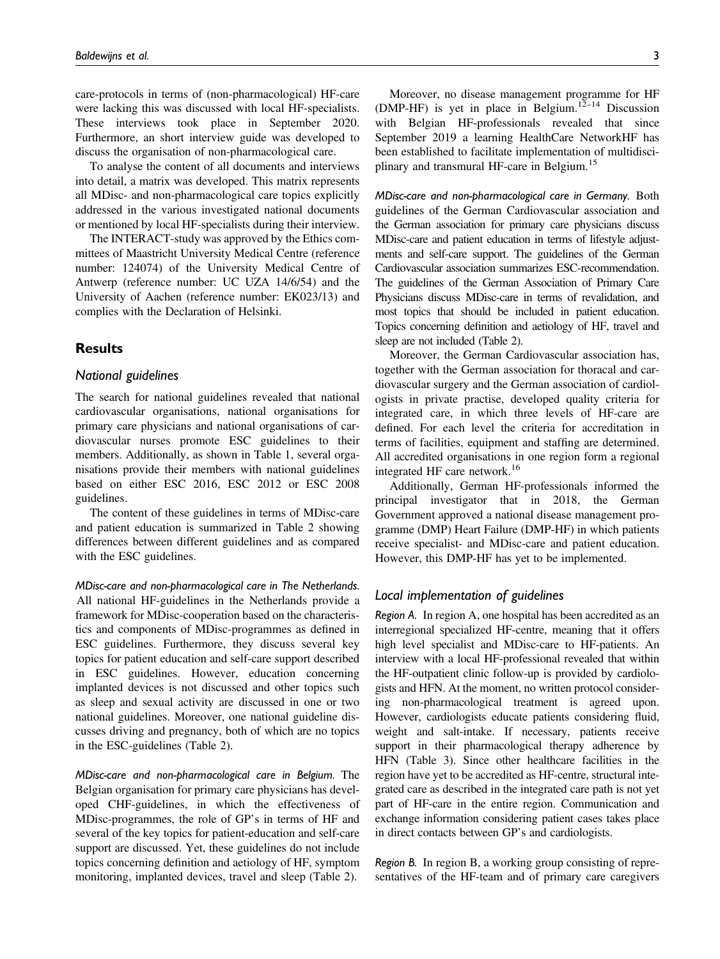care-protocols in terms of (non-pharmacological) HF-care were lacking this was discussed with local HF-specialists. These interviews took place in September 2020. Furthermore, an short interview guide was developed to discuss the organisation of non-pharmacological care.

To analyse the content of all documents and interviews into detail, a matrix was developed. This matrix represents all MDisc- and non-pharmacological care topics explicitly addressed in the various investigated national documents or mentioned by local HF-specialists during their interview.

The INTERACT-study was approved by the Ethics committees of Maastricht University Medical Centre (reference number: 124074) of the University Medical Centre of Antwerp (reference number: UC UZA 14/6/54) and the University of Aachen (reference number: EK023/13) and complies with the Declaration of Helsinki.

# **Results**

### National guidelines

The search for national guidelines revealed that national cardiovascular organisations, national organisations for primary care physicians and national organisations of cardiovascular nurses promote ESC guidelines to their members. Additionally, as shown in Table 1, several organisations provide their members with national guidelines based on either ESC 2016, ESC 2012 or ESC 2008 guidelines.

The content of these guidelines in terms of MDisc-care and patient education is summarized in Table 2 showing differences between different guidelines and as compared with the ESC guidelines.

MDisc-care and non-pharmacological care in The Netherlands. All national HF-guidelines in the Netherlands provide a framework for MDisc-cooperation based on the characteristics and components of MDisc-programmes as defined in ESC guidelines. Furthermore, they discuss several key topics for patient education and self-care support described in ESC guidelines. However, education concerning implanted devices is not discussed and other topics such as sleep and sexual activity are discussed in one or two national guidelines. Moreover, one national guideline discusses driving and pregnancy, both of which are no topics in the ESC-guidelines (Table 2).

MDisc-care and non-pharmacological care in Belgium. The Belgian organisation for primary care physicians has developed CHF-guidelines, in which the effectiveness of MDisc-programmes, the role of GP's in terms of HF and several of the key topics for patient-education and self-care support are discussed. Yet, these guidelines do not include topics concerning definition and aetiology of HF, symptom monitoring, implanted devices, travel and sleep (Table 2).

Moreover, no disease management programme for HF (DMP-HF) is yet in place in Belgium.<sup>12–14</sup> Discussion with Belgian HF-professionals revealed that since September 2019 a learning HealthCare NetworkHF has been established to facilitate implementation of multidisciplinary and transmural HF-care in Belgium.<sup>15</sup>

MDisc-care and non-pharmacological care in Germany. Both guidelines of the German Cardiovascular association and the German association for primary care physicians discuss MDisc-care and patient education in terms of lifestyle adjustments and self-care support. The guidelines of the German Cardiovascular association summarizes ESC-recommendation. The guidelines of the German Association of Primary Care Physicians discuss MDisc-care in terms of revalidation, and most topics that should be included in patient education. Topics concerning definition and aetiology of HF, travel and sleep are not included (Table 2).

Moreover, the German Cardiovascular association has, together with the German association for thoracal and cardiovascular surgery and the German association of cardiologists in private practise, developed quality criteria for integrated care, in which three levels of HF-care are defined. For each level the criteria for accreditation in terms of facilities, equipment and staffing are determined. All accredited organisations in one region form a regional integrated HF care network.<sup>16</sup>

Additionally, German HF-professionals informed the principal investigator that in 2018, the German Government approved a national disease management programme (DMP) Heart Failure (DMP-HF) in which patients receive specialist- and MDisc-care and patient education. However, this DMP-HF has yet to be implemented.

### Local implementation of guidelines

Region A. In region A, one hospital has been accredited as an interregional specialized HF-centre, meaning that it offers high level specialist and MDisc-care to HF-patients. An interview with a local HF-professional revealed that within the HF-outpatient clinic follow-up is provided by cardiologists and HFN. At the moment, no written protocol considering non-pharmacological treatment is agreed upon. However, cardiologists educate patients considering fluid, weight and salt-intake. If necessary, patients receive support in their pharmacological therapy adherence by HFN (Table 3). Since other healthcare facilities in the region have yet to be accredited as HF-centre, structural integrated care as described in the integrated care path is not yet part of HF-care in the entire region. Communication and exchange information considering patient cases takes place in direct contacts between GP's and cardiologists.

Region B. In region B, a working group consisting of representatives of the HF-team and of primary care caregivers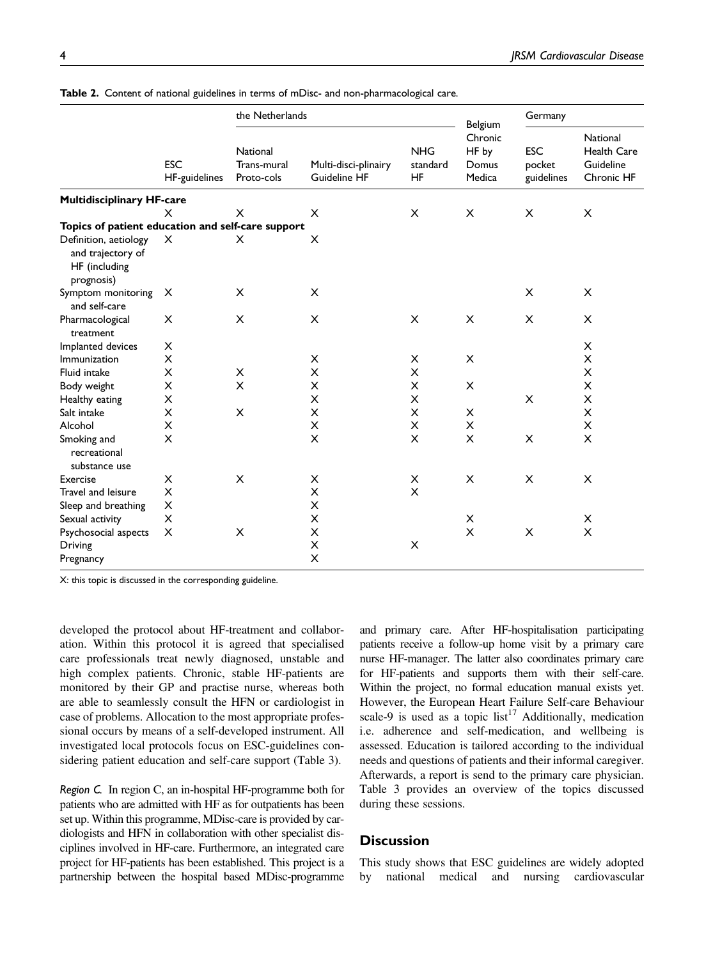|                                                                           |                             | the Netherlands                       |                                      |                              | Belgium                             | Germany                            |                                                           |
|---------------------------------------------------------------------------|-----------------------------|---------------------------------------|--------------------------------------|------------------------------|-------------------------------------|------------------------------------|-----------------------------------------------------------|
|                                                                           | <b>ESC</b><br>HF-guidelines | National<br>Trans-mural<br>Proto-cols | Multi-disci-plinairy<br>Guideline HF | <b>NHG</b><br>standard<br>HF | Chronic<br>HF by<br>Domus<br>Medica | <b>ESC</b><br>pocket<br>guidelines | National<br><b>Health Care</b><br>Guideline<br>Chronic HF |
| <b>Multidisciplinary HF-care</b>                                          |                             |                                       |                                      |                              |                                     |                                    |                                                           |
|                                                                           | x                           | X                                     | X                                    | X                            | X                                   | X                                  | X                                                         |
| Topics of patient education and self-care support                         |                             |                                       |                                      |                              |                                     |                                    |                                                           |
| Definition, aetiology<br>and trajectory of<br>HF (including<br>prognosis) | $\times$                    | X                                     | X                                    |                              |                                     |                                    |                                                           |
| Symptom monitoring<br>and self-care                                       | $\times$                    | X                                     | X                                    |                              |                                     | X                                  | X                                                         |
| Pharmacological<br>treatment                                              | X                           | X                                     | X                                    | X                            | X                                   | X                                  | X                                                         |
| Implanted devices                                                         | X                           |                                       |                                      |                              |                                     |                                    | $\pmb{\times}$                                            |
| Immunization                                                              | $\pmb{\times}$              |                                       | X                                    | $\pmb{\times}$               | X                                   |                                    | $\pmb{\times}$                                            |
| Fluid intake                                                              | X                           | X                                     | X                                    | X                            |                                     |                                    | X                                                         |
| Body weight                                                               | X                           | X                                     | X                                    | $\times$                     | X                                   |                                    | X                                                         |
| Healthy eating                                                            | X                           |                                       | X                                    | X                            |                                     | X                                  | X                                                         |
| Salt intake                                                               | X                           | X                                     | X                                    | X                            | X                                   |                                    | $\pmb{\times}$                                            |
| Alcohol                                                                   | X                           |                                       | X                                    | $\pmb{\times}$               | X                                   |                                    | $\pmb{\times}$                                            |
| Smoking and<br>recreational<br>substance use                              | X                           |                                       | X                                    | X                            | X                                   | $\pmb{\times}$                     | $\times$                                                  |
| Exercise                                                                  | X                           | X                                     | X                                    | $\boldsymbol{\times}$        | X                                   | X                                  | X                                                         |
| Travel and leisure                                                        | $\times$                    |                                       | X                                    | X                            |                                     |                                    |                                                           |
| Sleep and breathing                                                       | X                           |                                       | X                                    |                              |                                     |                                    |                                                           |
| Sexual activity                                                           | X                           |                                       | X                                    |                              | X                                   |                                    | X                                                         |
| Psychosocial aspects                                                      | X                           | X                                     | $\pmb{\times}$                       |                              | $\overline{\mathsf{x}}$             | X                                  | $\pmb{\times}$                                            |
| Driving                                                                   |                             |                                       | $\times$                             | X                            |                                     |                                    |                                                           |
| Pregnancy                                                                 |                             |                                       | X                                    |                              |                                     |                                    |                                                           |

Table 2. Content of national guidelines in terms of mDisc- and non-pharmacological care.

X: this topic is discussed in the corresponding guideline.

developed the protocol about HF-treatment and collaboration. Within this protocol it is agreed that specialised care professionals treat newly diagnosed, unstable and high complex patients. Chronic, stable HF-patients are monitored by their GP and practise nurse, whereas both are able to seamlessly consult the HFN or cardiologist in case of problems. Allocation to the most appropriate professional occurs by means of a self-developed instrument. All investigated local protocols focus on ESC-guidelines considering patient education and self-care support (Table 3).

Region C. In region C, an in-hospital HF-programme both for patients who are admitted with HF as for outpatients has been set up. Within this programme, MDisc-care is provided by cardiologists and HFN in collaboration with other specialist disciplines involved in HF-care. Furthermore, an integrated care project for HF-patients has been established. This project is a partnership between the hospital based MDisc-programme

and primary care. After HF-hospitalisation participating patients receive a follow-up home visit by a primary care nurse HF-manager. The latter also coordinates primary care for HF-patients and supports them with their self-care. Within the project, no formal education manual exists yet. However, the European Heart Failure Self-care Behaviour scale-9 is used as a topic list<sup>17</sup> Additionally, medication i.e. adherence and self-medication, and wellbeing is assessed. Education is tailored according to the individual needs and questions of patients and their informal caregiver. Afterwards, a report is send to the primary care physician. Table 3 provides an overview of the topics discussed during these sessions.

# **Discussion**

This study shows that ESC guidelines are widely adopted by national medical and nursing cardiovascular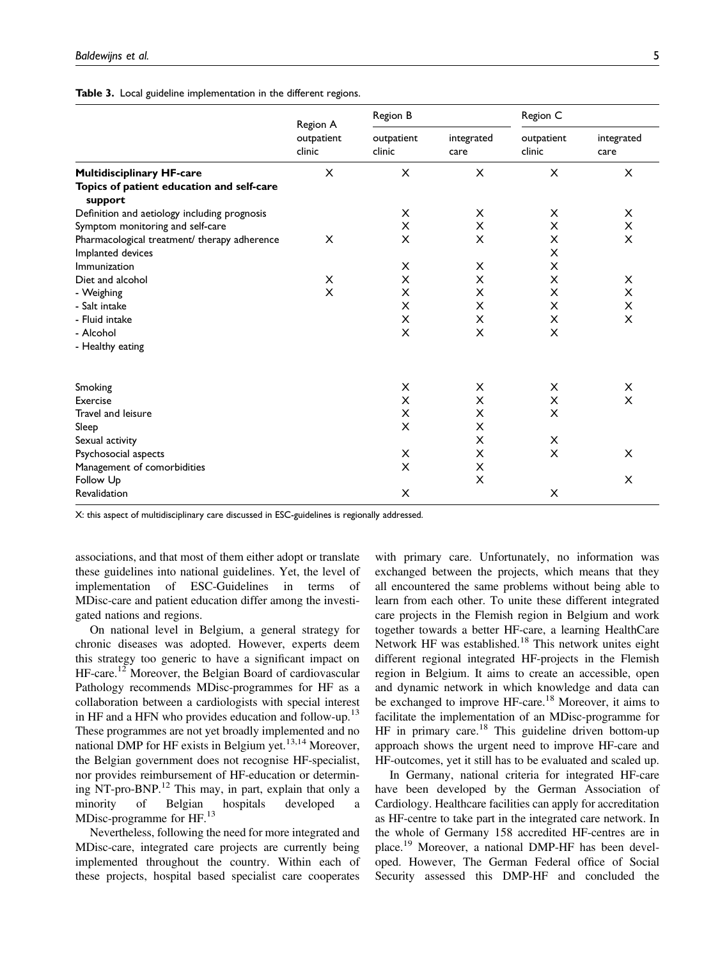|  | Table 3. Local guideline implementation in the different regions. |  |  |  |  |  |
|--|-------------------------------------------------------------------|--|--|--|--|--|
|--|-------------------------------------------------------------------|--|--|--|--|--|

|                                                      | Region A             | Region B                                   |                | Region C             |                    |  |
|------------------------------------------------------|----------------------|--------------------------------------------|----------------|----------------------|--------------------|--|
|                                                      | outpatient<br>clinic | outpatient<br>integrated<br>clinic<br>care |                | outpatient<br>clinic | integrated<br>care |  |
| <b>Multidisciplinary HF-care</b>                     | X                    | X                                          | X              | X                    | X                  |  |
| Topics of patient education and self-care<br>support |                      |                                            |                |                      |                    |  |
| Definition and aetiology including prognosis         |                      | X                                          | X              | X                    | X                  |  |
| Symptom monitoring and self-care                     |                      | X                                          | X              | X                    | X                  |  |
| Pharmacological treatment/ therapy adherence         | X                    | X                                          | X              | X                    | X                  |  |
| Implanted devices                                    |                      |                                            |                | X                    |                    |  |
| Immunization                                         |                      | X                                          | X              | X                    |                    |  |
| Diet and alcohol                                     | X                    | X                                          | X              | X                    | X                  |  |
| - Weighing                                           | X                    | X                                          | X              | X                    | X                  |  |
| - Salt intake                                        |                      | X                                          | X              | X                    | X                  |  |
| - Fluid intake                                       |                      | X                                          | X              | X                    | X                  |  |
| - Alcohol                                            |                      | X                                          | X              | X                    |                    |  |
| - Healthy eating                                     |                      |                                            |                |                      |                    |  |
| Smoking                                              |                      | X                                          | X              | X                    | X                  |  |
| Exercise                                             |                      | X                                          | X              | X                    | $\times$           |  |
| Travel and leisure                                   |                      | X                                          | X              | X                    |                    |  |
| Sleep                                                |                      | X                                          | X              |                      |                    |  |
| Sexual activity                                      |                      |                                            | X              | X                    |                    |  |
| Psychosocial aspects                                 |                      | X                                          | X              | X                    | X                  |  |
| Management of comorbidities                          |                      | X                                          | X              |                      |                    |  |
| Follow Up                                            |                      |                                            | $\pmb{\times}$ |                      | X                  |  |
| Revalidation                                         |                      | X                                          |                | X                    |                    |  |

X: this aspect of multidisciplinary care discussed in ESC-guidelines is regionally addressed.

associations, and that most of them either adopt or translate these guidelines into national guidelines. Yet, the level of implementation of ESC-Guidelines in terms of MDisc-care and patient education differ among the investigated nations and regions.

On national level in Belgium, a general strategy for chronic diseases was adopted. However, experts deem this strategy too generic to have a significant impact on HF-care.<sup>12</sup> Moreover, the Belgian Board of cardiovascular Pathology recommends MDisc-programmes for HF as a collaboration between a cardiologists with special interest in HF and a HFN who provides education and follow-up.<sup>13</sup> These programmes are not yet broadly implemented and no national DMP for HF exists in Belgium yet.<sup>13,14</sup> Moreover, the Belgian government does not recognise HF-specialist, nor provides reimbursement of HF-education or determining NT-pro-BNP.<sup>12</sup> This may, in part, explain that only a minority of Belgian hospitals developed a MDisc-programme for HF.<sup>13</sup>

Nevertheless, following the need for more integrated and MDisc-care, integrated care projects are currently being implemented throughout the country. Within each of these projects, hospital based specialist care cooperates with primary care. Unfortunately, no information was exchanged between the projects, which means that they all encountered the same problems without being able to learn from each other. To unite these different integrated care projects in the Flemish region in Belgium and work together towards a better HF-care, a learning HealthCare Network HF was established.<sup>18</sup> This network unites eight different regional integrated HF-projects in the Flemish region in Belgium. It aims to create an accessible, open and dynamic network in which knowledge and data can be exchanged to improve HF-care.<sup>18</sup> Moreover, it aims to facilitate the implementation of an MDisc-programme for  $HF$  in primary care.<sup>18</sup> This guideline driven bottom-up approach shows the urgent need to improve HF-care and HF-outcomes, yet it still has to be evaluated and scaled up.

In Germany, national criteria for integrated HF-care have been developed by the German Association of Cardiology. Healthcare facilities can apply for accreditation as HF-centre to take part in the integrated care network. In the whole of Germany 158 accredited HF-centres are in place.<sup>19</sup> Moreover, a national DMP-HF has been developed. However, The German Federal office of Social Security assessed this DMP-HF and concluded the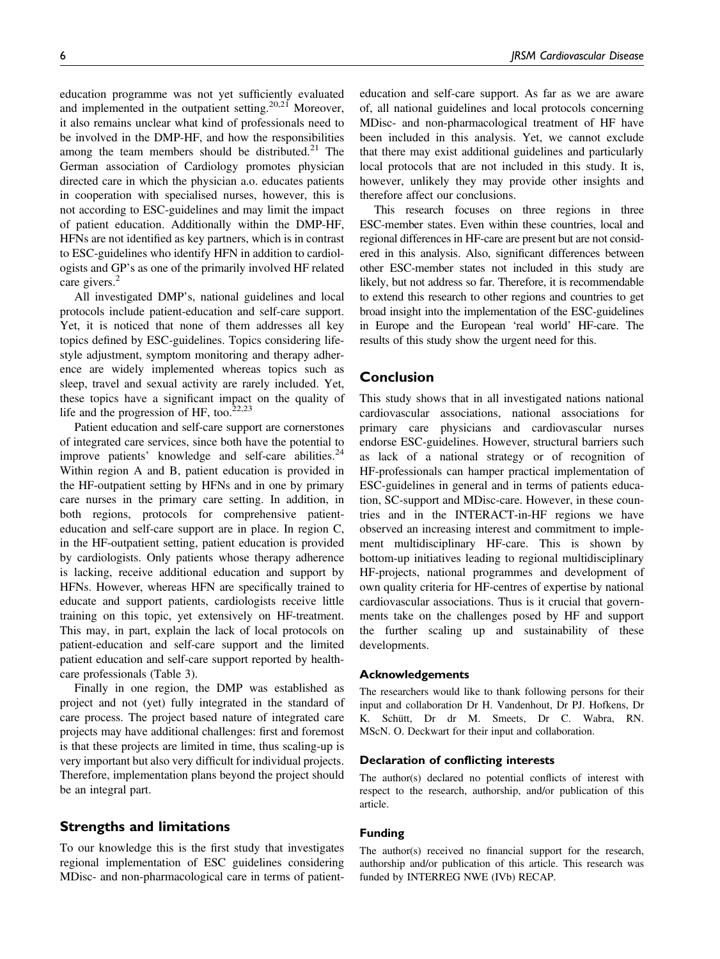education programme was not yet sufficiently evaluated and implemented in the outpatient setting.<sup>20,21</sup> Moreover, it also remains unclear what kind of professionals need to be involved in the DMP-HF, and how the responsibilities among the team members should be distributed. $21$  The German association of Cardiology promotes physician directed care in which the physician a.o. educates patients in cooperation with specialised nurses, however, this is not according to ESC-guidelines and may limit the impact of patient education. Additionally within the DMP-HF, HFNs are not identified as key partners, which is in contrast to ESC-guidelines who identify HFN in addition to cardiologists and GP's as one of the primarily involved HF related care givers.<sup>2</sup>

All investigated DMP's, national guidelines and local protocols include patient-education and self-care support. Yet, it is noticed that none of them addresses all key topics defined by ESC-guidelines. Topics considering lifestyle adjustment, symptom monitoring and therapy adherence are widely implemented whereas topics such as sleep, travel and sexual activity are rarely included. Yet, these topics have a significant impact on the quality of life and the progression of HF, too. $22,23$ 

Patient education and self-care support are cornerstones of integrated care services, since both have the potential to improve patients' knowledge and self-care abilities. $24$ Within region A and B, patient education is provided in the HF-outpatient setting by HFNs and in one by primary care nurses in the primary care setting. In addition, in both regions, protocols for comprehensive patienteducation and self-care support are in place. In region C, in the HF-outpatient setting, patient education is provided by cardiologists. Only patients whose therapy adherence is lacking, receive additional education and support by HFNs. However, whereas HFN are specifically trained to educate and support patients, cardiologists receive little training on this topic, yet extensively on HF-treatment. This may, in part, explain the lack of local protocols on patient-education and self-care support and the limited patient education and self-care support reported by healthcare professionals (Table 3).

Finally in one region, the DMP was established as project and not (yet) fully integrated in the standard of care process. The project based nature of integrated care projects may have additional challenges: first and foremost is that these projects are limited in time, thus scaling-up is very important but also very difficult for individual projects. Therefore, implementation plans beyond the project should be an integral part.

# Strengths and limitations

To our knowledge this is the first study that investigates regional implementation of ESC guidelines considering MDisc- and non-pharmacological care in terms of patienteducation and self-care support. As far as we are aware of, all national guidelines and local protocols concerning MDisc- and non-pharmacological treatment of HF have been included in this analysis. Yet, we cannot exclude that there may exist additional guidelines and particularly local protocols that are not included in this study. It is, however, unlikely they may provide other insights and therefore affect our conclusions.

This research focuses on three regions in three ESC-member states. Even within these countries, local and regional differences in HF-care are present but are not considered in this analysis. Also, significant differences between other ESC-member states not included in this study are likely, but not address so far. Therefore, it is recommendable to extend this research to other regions and countries to get broad insight into the implementation of the ESC-guidelines in Europe and the European 'real world' HF-care. The results of this study show the urgent need for this.

# Conclusion

This study shows that in all investigated nations national cardiovascular associations, national associations for primary care physicians and cardiovascular nurses endorse ESC-guidelines. However, structural barriers such as lack of a national strategy or of recognition of HF-professionals can hamper practical implementation of ESC-guidelines in general and in terms of patients education, SC-support and MDisc-care. However, in these countries and in the INTERACT-in-HF regions we have observed an increasing interest and commitment to implement multidisciplinary HF-care. This is shown by bottom-up initiatives leading to regional multidisciplinary HF-projects, national programmes and development of own quality criteria for HF-centres of expertise by national cardiovascular associations. Thus is it crucial that governments take on the challenges posed by HF and support the further scaling up and sustainability of these developments.

### Acknowledgements

The researchers would like to thank following persons for their input and collaboration Dr H. Vandenhout, Dr PJ. Hofkens, Dr K. Schütt, Dr dr M. Smeets, Dr C. Wabra, RN. MScN. O. Deckwart for their input and collaboration.

# Declaration of conflicting interests

The author(s) declared no potential conflicts of interest with respect to the research, authorship, and/or publication of this article.

#### Funding

The author(s) received no financial support for the research, authorship and/or publication of this article. This research was funded by INTERREG NWE (IVb) RECAP.